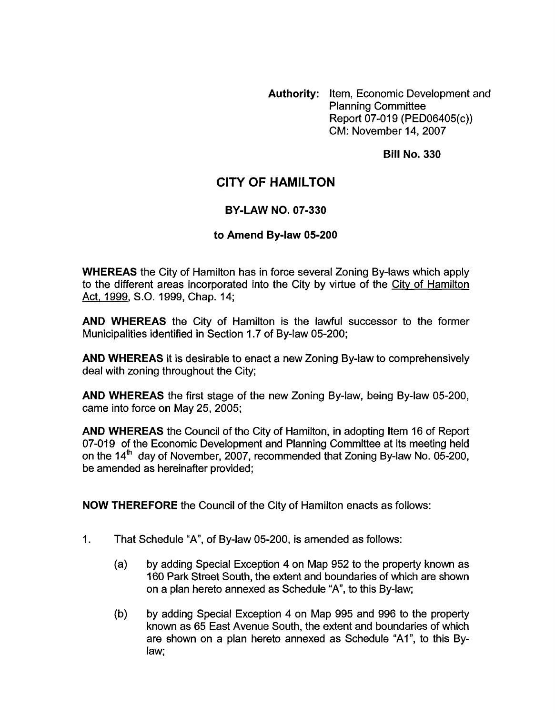**Authority:** Item, Economic Development and Planning Committee Report 07-019 (PED06405(c)) CM: November 14,2007

**Bill No. 330** 

# **CITY OF HAMILTON**

### **BY-LAW NO. 07-330**

#### **to Amend Bylaw 05-200**

**WHEREAS** the City of Hamilton has in force several Zoning By-laws which apply to the different areas incorporated into the City by virtue of the City of Hamilton Act, 1999, S.O. 1999, Chap. 14;

**AND WHEREAS** the City of Hamilton is the lawful successor to the former Municipalities identified in Section 1.7 of By-law 05-200;

**AND WHEREAS** it is desirable to enact a new Zoning By-law to comprehensively deal with zoning throughout the City;

**AND WHEREAS** the first stage of the new Zoning By-law, being By-law 05-200, came into force on May 25, 2005;

**AND WHEREAS** the Council of the City of Hamilton, in adopting Item 16 of Report 07-019 *of* the Economic Development and Planning Committee at its meeting held on the 14<sup>th</sup> day of November, 2007, recommended that Zoning By-law No. 05-200, be amended as hereinafter provided;

**NOW THEREFORE** the Council of the City of Hamilton enacts as follows:

- 1. That Schedule "A", of By-law 05-200, is amended as follows:
	- (a) by adding Special Exception **4** on Map 952 to the property known as 160 Park Street South, the extent and boundaries of which are shown on a plan hereto annexed as Schedule "A", to this By-law;
	- (b) by adding Special Exception 4 on Map 995 and 996 to the property known as 65 East Avenue South, the extent and boundaries of which are shown on a plan hereto annexed as Schedule "Al", to this Bylaw;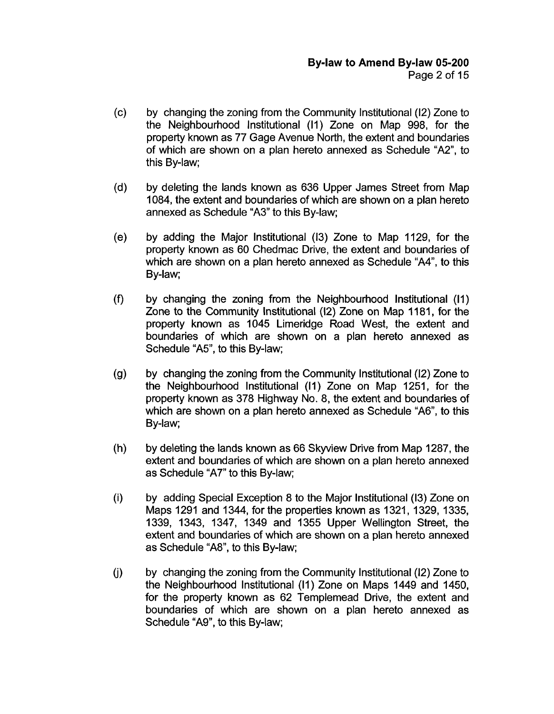- (c) by changing the zoning from the Community Institutional (12) Zone to the Neighbourhood Institutional (11) Zone on Map 998, for the property known as 77 Gage Avenue North, the extent and boundaries of which are shown on a plan hereto annexed as Schedule "A2", to this By-law;
- (d) by deleting the lands known as 636 Upper James Street from Map 1084, the extent and boundaries of which are shown on a plan hereto annexed as Schedule "A3" to this By-law;
- (e) by adding the Major Institutional (13) Zone to Map 1129, for the property known as 60 Chedmac Drive, the extent and boundaries of which are shown on a plan hereto annexed as Schedule "A4", to this By-law;
- **(9** by changing the zoning from the Neighbourhood Institutional (11) Zone to the Community Institutional (12) Zone on Map 1181 , for the property known as 1045 Limeridge Road West, the extent and boundaries of which are shown on a plan hereto annexed as Schedule "A5", to this By-law;
- (9) by changing the zoning from the Community Institutional (12) Zone to the Neighbourhood Institutional (11) Zone on Map 1251, for the property known as 378 Highway No. 8, the extent and boundaries **of**  which are shown on a plan hereto annexed as Schedule "A6", to this By-law;
- (h) by deleting the lands known as 66 Skyview Drive from Map 1287, the extent and boundaries of which are shown on a plan hereto annexed as Schedule "A7" to this By-law;
- (i) by adding Special Exception 8 to the Major Institutional (13) Zone on Maps 1291 and 1344, for the properties known as 1321 , 1329, 1335, 1339, 1343, 1347, 1349 and 1355 Upper Wellington Street, the extent and boundaries of which are shown on a plan hereto annexed as Schedule "A8", to this By-law;
- (j) by changing the zoning from the Community Institutional (12) Zone to the Neighbourhood Institutional (11) Zone on Maps 1449 and 1450, for the property known as 62 Templemead Drive, the extent and boundaries of which are shown on a plan hereto annexed as Schedule "A9", to this By-law;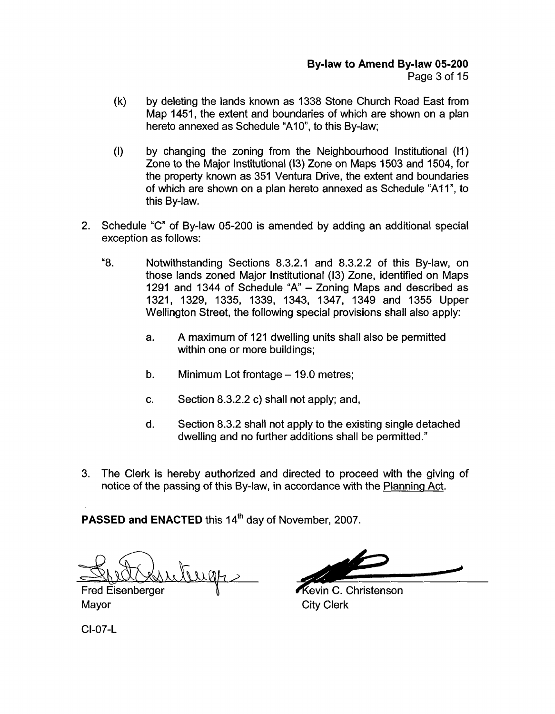- (k) by deleting the lands known as 1338 Stone Church Road East from Map 1451, the extent and boundaries of which are shown on a plan hereto annexed as Schedule "A10", to this By-law:
- (I) by changing the zoning from the Neighbourhood Institutional (11) Zone to the Major Institutional (13) Zone on Maps 1503 and 1504, for the property known as 351 Ventura Drive, the extent and boundaries of which are shown on a plan hereto annexed as Schedule "A1 I", to this By-law.
- 2. Schedule "C" of By-law 05-200 is amended by adding an additional special exception as follows:
	- "8. Notwithstanding Sections 8.3.2.1 and 8.3.2.2 of this By-law, on those lands zoned Major Institutional (13) Zone, identified on Maps 1291 and 1344 of Schedule "A" - Zoning Maps and described as 1321, 1329, 1335, 1339, 1343, 1347, 1349 and 1355 Upper Wellington Street, the following special provisions shall also apply:
		- a. A maximum of 121 dwelling units shall also be permitted within one or more buildings;
		- b. Minimum Lot frontage  $-$  19.0 metres;
		- c. Section 8.3.2.2 c) shall not apply; and,
		- d. Section 8.3.2 shall not apply to the existing single detached dwelling and no further additions shall be permitted."
- 3. The Clerk is hereby authorized and directed to proceed with the giving of notice of the passing of this By-law, in accordance with the Planning Act.

**PASSED and ENACTED this 14<sup>th</sup> day of November, 2007.** 

Juge

**Fred Eisenberger** Mayor **City Clerk** 

Kevin C. Christenson

CI-07-L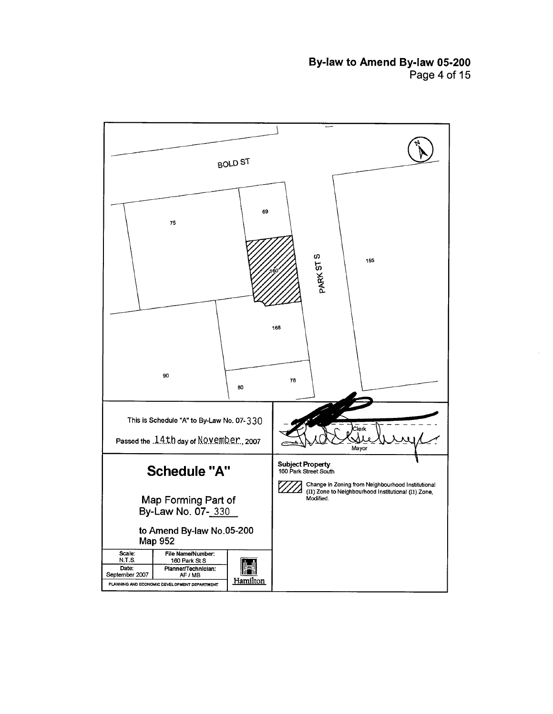# **By-law to Amend Bylaw 05-200**  Page 4 of 15

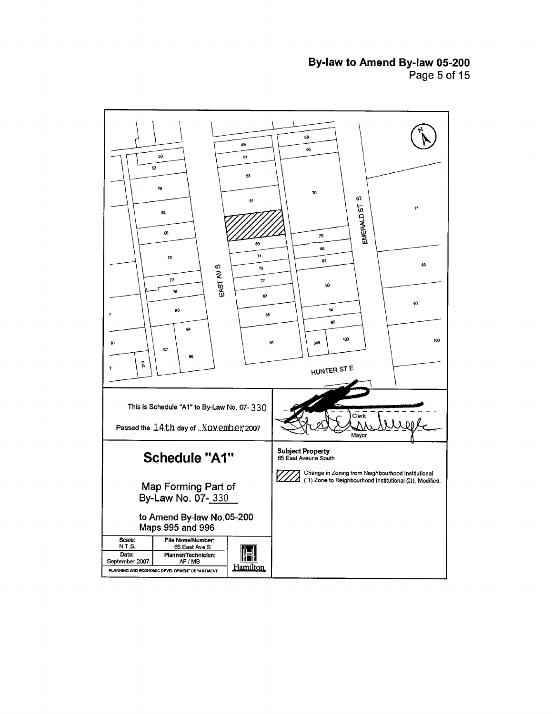# **Bylaw to Amend By-law 05-200**  Page **5** of 15

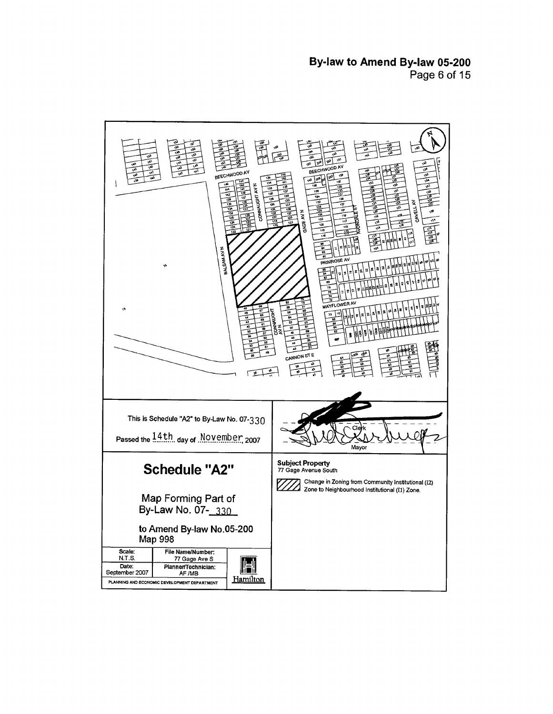**Bylaw to Amend By-law 05-200**  Page 6 of 15

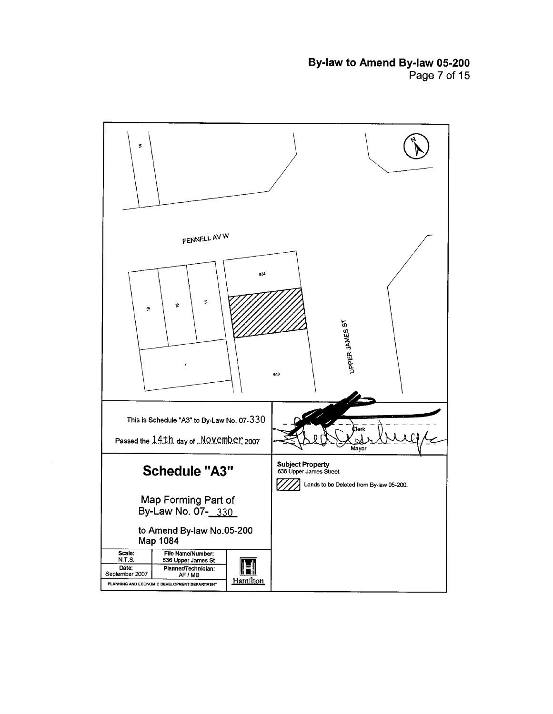**Bylaw to Amend By-law 05-200**  Page **7** of 15

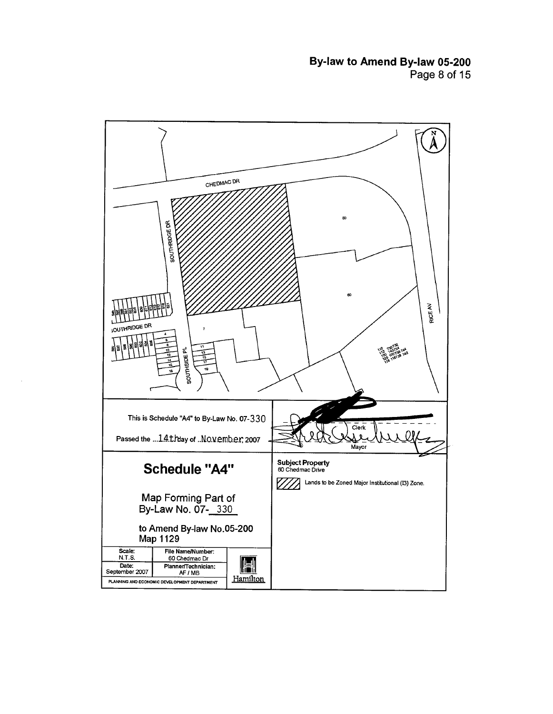**By-law to Amend By-law 05-200**  Page **8** of **15** 

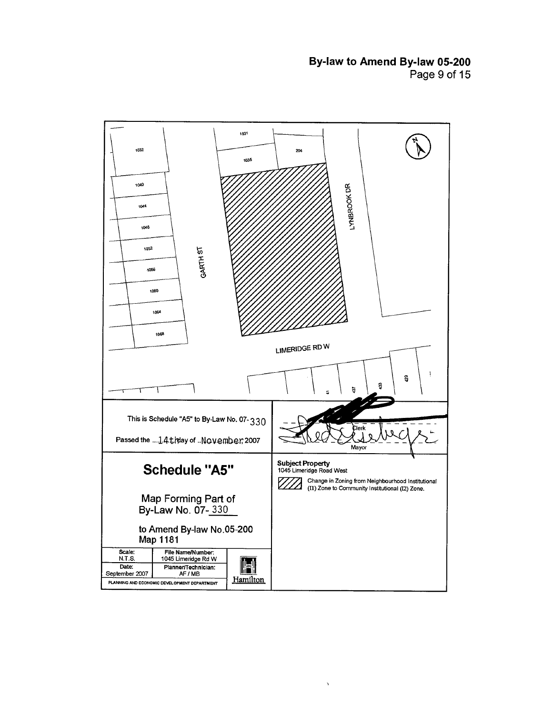# **By-law to Amend Bylaw 05-200**  Page **9** of 15



,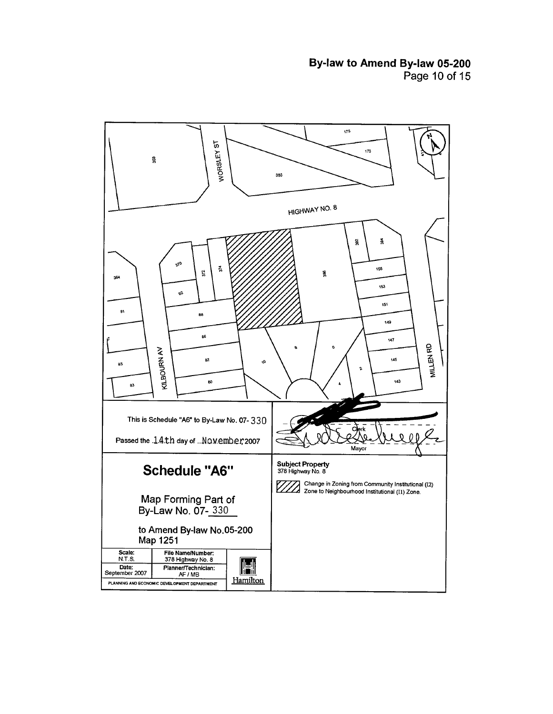**Bylaw to Amend Bylaw 05-200**  Page 10 of 15

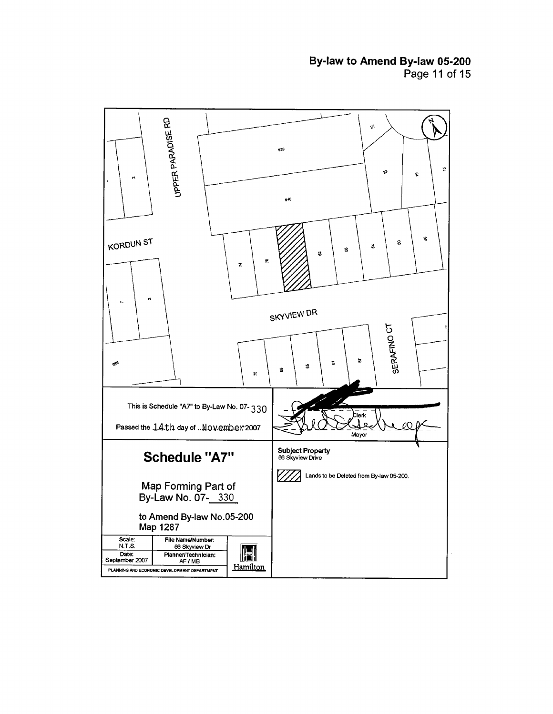# **By-law to Amend Bylaw 05-200**  Page 11 of 15

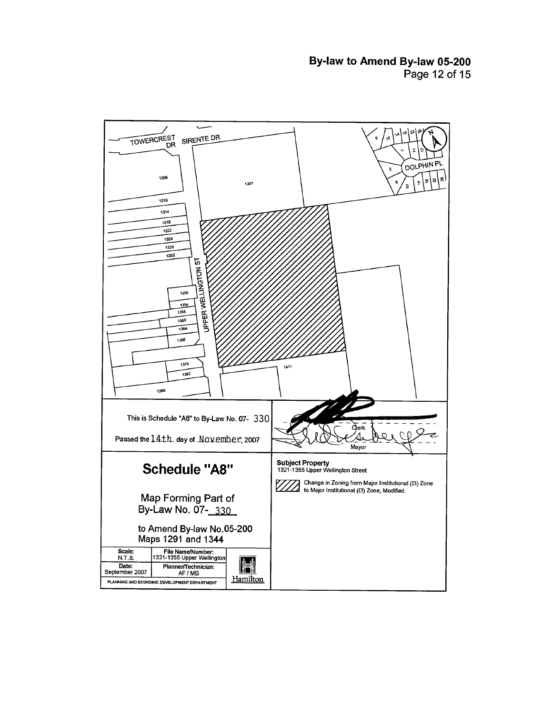**Bylaw to Amend By-law 05-200**  Page 12 of 15

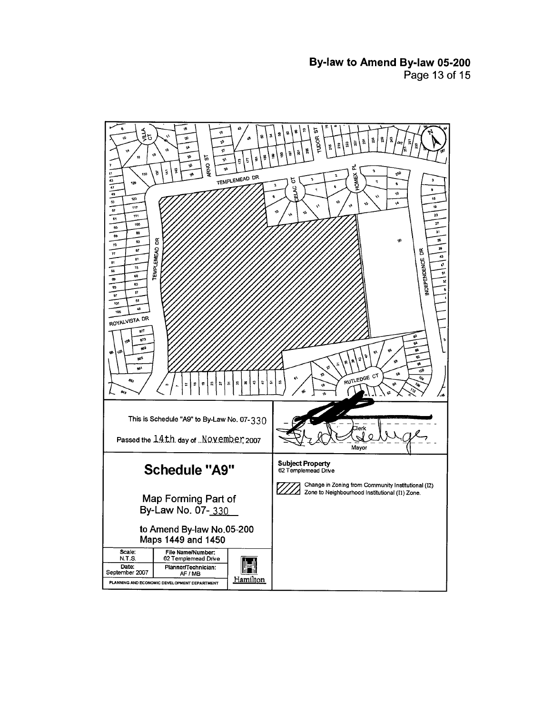**By-law to Amend Bylaw 05-200**  Page **13** of 15

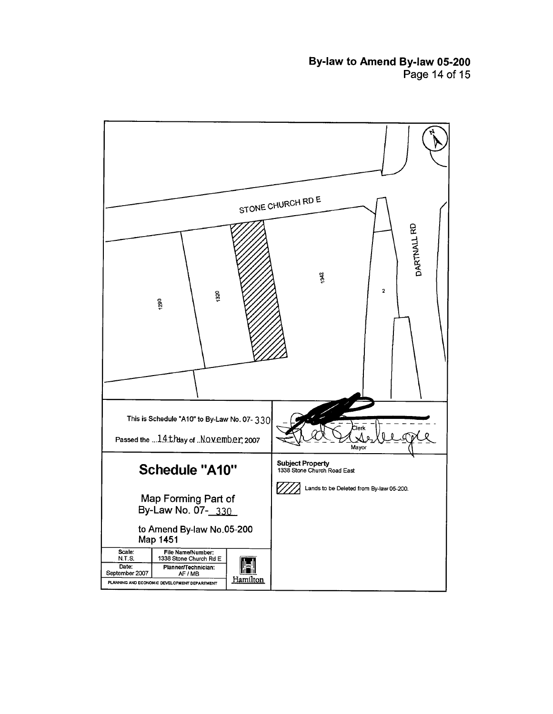# **Bylaw to Amend Bylaw 05-200**  Page **14** of **15**